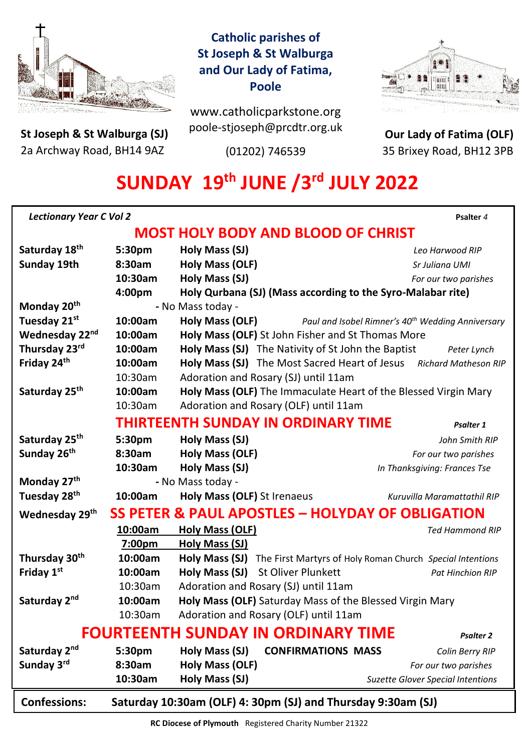

**St Joseph & St Walburga (SJ)** 2a Archway Road, BH14 9AZ 

# **Catholic parishes of St Joseph & St Walburga and Our Lady of Fatima, Poole**

www.catholicparkstone.org poole-stjoseph@prcdtr.org.uk

(01202) 746539



**Our Lady of Fatima (OLF)** 35 Brixey Road, BH12 3PB

# **SUNDAY 19 th JUNE /3rd JULY 2022**

| <b>Lectionary Year C Vol 2</b>                                                            |                                                              |                                                                                  | Psalter 4                                                 |  |
|-------------------------------------------------------------------------------------------|--------------------------------------------------------------|----------------------------------------------------------------------------------|-----------------------------------------------------------|--|
| <b>MOST HOLY BODY AND BLOOD OF CHRIST</b>                                                 |                                                              |                                                                                  |                                                           |  |
| Saturday 18 <sup>th</sup>                                                                 | 5:30pm                                                       | Holy Mass (SJ)                                                                   | Leo Harwood RIP                                           |  |
| <b>Sunday 19th</b>                                                                        | 8:30am                                                       | <b>Holy Mass (OLF)</b>                                                           | Sr Juliana UMI                                            |  |
|                                                                                           | 10:30am                                                      | Holy Mass (SJ)                                                                   | For our two parishes                                      |  |
|                                                                                           | 4:00pm                                                       | Holy Qurbana (SJ) (Mass according to the Syro-Malabar rite)                      |                                                           |  |
| Monday 20 <sup>th</sup>                                                                   |                                                              | - No Mass today -                                                                |                                                           |  |
| Tuesday 21st                                                                              | 10:00am                                                      | Holy Mass (OLF)<br>Paul and Isobel Rimner's 40 <sup>th</sup> Wedding Anniversary |                                                           |  |
| Wednesday 22nd                                                                            | 10:00am                                                      | Holy Mass (OLF) St John Fisher and St Thomas More                                |                                                           |  |
| Thursday 23rd                                                                             | 10:00am                                                      | Holy Mass (SJ) The Nativity of St John the Baptist<br>Peter Lynch                |                                                           |  |
| Friday 24th                                                                               | 10:00am                                                      | Holy Mass (SJ) The Most Sacred Heart of Jesus Richard Matheson RIP               |                                                           |  |
|                                                                                           | 10:30am                                                      | Adoration and Rosary (SJ) until 11am                                             |                                                           |  |
| Saturday 25 <sup>th</sup>                                                                 | 10:00am                                                      | Holy Mass (OLF) The Immaculate Heart of the Blessed Virgin Mary                  |                                                           |  |
|                                                                                           | 10:30am                                                      | Adoration and Rosary (OLF) until 11am                                            |                                                           |  |
| THIRTEENTH SUNDAY IN ORDINARY TIME<br>Psalter 1                                           |                                                              |                                                                                  |                                                           |  |
| Saturday 25 <sup>th</sup>                                                                 | 5:30pm                                                       | Holy Mass (SJ)                                                                   | John Smith RIP                                            |  |
| Sunday 26 <sup>th</sup>                                                                   | 8:30am                                                       | <b>Holy Mass (OLF)</b>                                                           | For our two parishes                                      |  |
|                                                                                           | 10:30am                                                      | Holy Mass (SJ)                                                                   | In Thanksgiving: Frances Tse                              |  |
| Monday 27th                                                                               |                                                              | - No Mass today -                                                                |                                                           |  |
| Tuesday 28 <sup>th</sup>                                                                  | 10:00am                                                      | Holy Mass (OLF) St Irenaeus                                                      | Kuruvilla Maramattathil RIP                               |  |
| <b>SS PETER &amp; PAUL APOSTLES - HOLYDAY OF OBLIGATION</b><br>Wednesday 29 <sup>th</sup> |                                                              |                                                                                  |                                                           |  |
|                                                                                           | 10:00am                                                      | <b>Holy Mass (OLF)</b>                                                           | <b>Ted Hammond RIP</b>                                    |  |
|                                                                                           | 7:00pm                                                       | Holy Mass (SJ)                                                                   |                                                           |  |
| Thursday 30th                                                                             | 10:00am                                                      | Holy Mass (SJ)                                                                   | The First Martyrs of Holy Roman Church Special Intentions |  |
| Friday 1st                                                                                | 10:00am                                                      | Holy Mass (SJ) St Oliver Plunkett                                                | <b>Pat Hinchion RIP</b>                                   |  |
|                                                                                           | 10:30am                                                      | Adoration and Rosary (SJ) until 11am                                             |                                                           |  |
| Saturday 2nd                                                                              | 10:00am                                                      | Holy Mass (OLF) Saturday Mass of the Blessed Virgin Mary                         |                                                           |  |
|                                                                                           | 10:30am                                                      | Adoration and Rosary (OLF) until 11am                                            |                                                           |  |
| <b>FOURTEENTH SUNDAY IN ORDINARY TIME</b><br><b>Psalter 2</b>                             |                                                              |                                                                                  |                                                           |  |
| Saturday 2 <sup>nd</sup>                                                                  | 5:30pm                                                       | Holy Mass (SJ)<br><b>CONFIRMATIONS MASS</b>                                      | Colin Berry RIP                                           |  |
| Sunday 3rd                                                                                | 8:30am                                                       | <b>Holy Mass (OLF)</b>                                                           | For our two parishes                                      |  |
|                                                                                           | 10:30am                                                      | Holy Mass (SJ)                                                                   | <b>Suzette Glover Special Intentions</b>                  |  |
| <b>Confessions:</b>                                                                       | Saturday 10:30am (OLF) 4: 30pm (SJ) and Thursday 9:30am (SJ) |                                                                                  |                                                           |  |